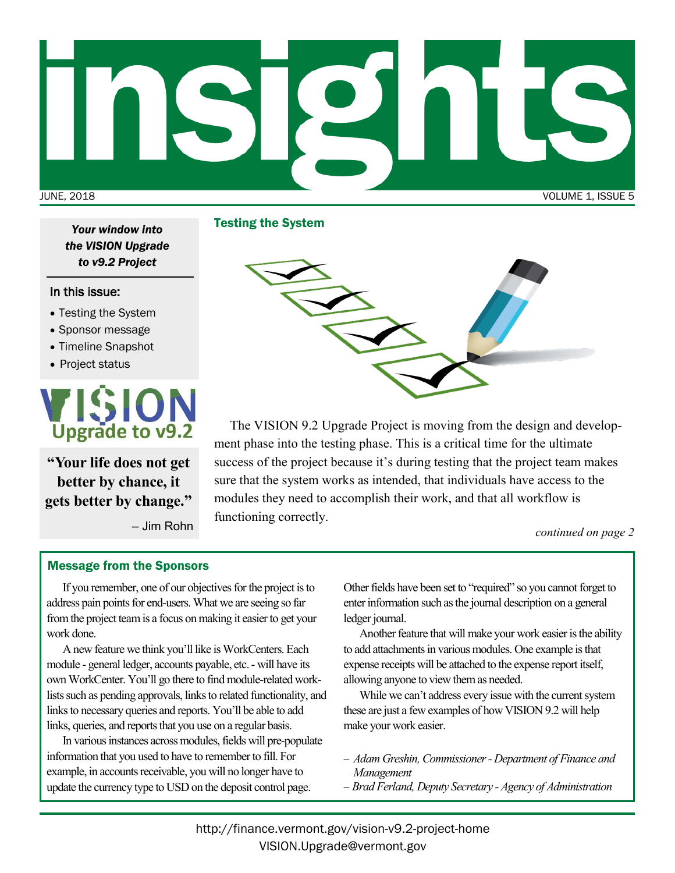

Testing the System *Your window into the VISION Upgrade to v9.2 Project*

## In this issue:

- Testing the System
- Sponsor message
- Timeline Snapshot
- Project status



**"Your life does not get better by chance, it gets better by change."**

– Jim Rohn



The VISION 9.2 Upgrade Project is moving from the design and development phase into the testing phase. This is a critical time for the ultimate success of the project because it's during testing that the project team makes sure that the system works as intended, that individuals have access to the modules they need to accomplish their work, and that all workflow is functioning correctly.

*continued on page 2*

## Message from the Sponsors

If you remember, one of our objectives for the project is to address pain points for end-users. What we are seeing so far from the project team is a focus on making it easier to get your work done.

A new feature we think you'll like is WorkCenters. Each module - general ledger, accounts payable, etc. - will have its own WorkCenter. You'll go there to find module-related worklists such as pending approvals, links to related functionality, and links to necessary queries and reports. You'll be able to add links, queries, and reports that you use on a regular basis.

In various instances across modules, fields will pre-populate information that you used to have to remember to fill. For example, in accounts receivable, you will no longer have to update the currency type to USD on the deposit control page.

Other fields have been set to "required" so you cannot forget to enter information such as the journal description on a general ledger journal.

Another feature that will make your work easier is the ability to add attachments in various modules. One example is that expense receipts will be attached to the expense report itself, allowing anyone to view them as needed.

While we can't address every issue with the current system these are just a few examples of how VISION 9.2 will help make your work easier.

- − *Adam Greshin, Commissioner - Department of Finance and Management*
- − *Brad Ferland, Deputy Secretary - Agency of Administration*